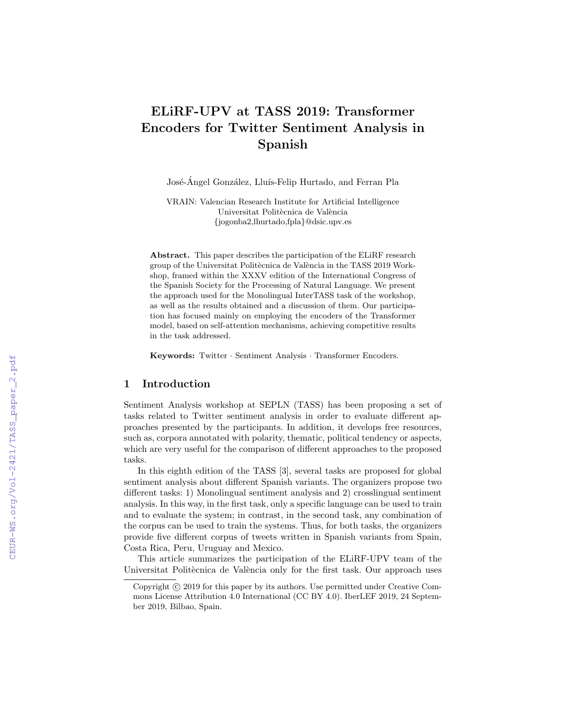# ELiRF-UPV at TASS 2019: Transformer Encoders for Twitter Sentiment Analysis in Spanish

José-Ángel González, Lluís-Felip Hurtado, and Ferran Pla

VRAIN: Valencian Research Institute for Artificial Intelligence Universitat Politècnica de València {jogonba2,lhurtado,fpla}@dsic.upv.es

Abstract. This paper describes the participation of the ELiRF research group of the Universitat Politècnica de València in the TASS 2019 Workshop, framed within the XXXV edition of the International Congress of the Spanish Society for the Processing of Natural Language. We present the approach used for the Monolingual InterTASS task of the workshop, as well as the results obtained and a discussion of them. Our participation has focused mainly on employing the encoders of the Transformer model, based on self-attention mechanisms, achieving competitive results in the task addressed.

Keywords: Twitter · Sentiment Analysis · Transformer Encoders.

# 1 Introduction

Sentiment Analysis workshop at SEPLN (TASS) has been proposing a set of tasks related to Twitter sentiment analysis in order to evaluate different approaches presented by the participants. In addition, it develops free resources, such as, corpora annotated with polarity, thematic, political tendency or aspects, which are very useful for the comparison of different approaches to the proposed tasks.

In this eighth edition of the TASS [3], several tasks are proposed for global sentiment analysis about different Spanish variants. The organizers propose two different tasks: 1) Monolingual sentiment analysis and 2) crosslingual sentiment analysis. In this way, in the first task, only a specific language can be used to train and to evaluate the system; in contrast, in the second task, any combination of the corpus can be used to train the systems. Thus, for both tasks, the organizers provide five different corpus of tweets written in Spanish variants from Spain, Costa Rica, Peru, Uruguay and Mexico.

This article summarizes the participation of the ELiRF-UPV team of the Universitat Politècnica de València only for the first task. Our approach uses

Copyright  $\odot$  2019 for this paper by its authors. Use permitted under Creative Commons License Attribution 4.0 International (CC BY 4.0). IberLEF 2019, 24 September 2019, Bilbao, Spain.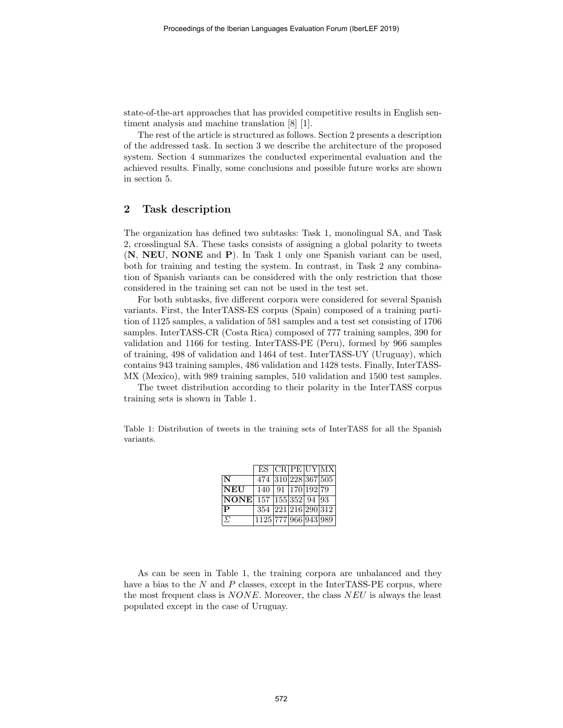state-of-the-art approaches that has provided competitive results in English sentiment analysis and machine translation [8] [1].

The rest of the article is structured as follows. Section 2 presents a description of the addressed task. In section 3 we describe the architecture of the proposed system. Section 4 summarizes the conducted experimental evaluation and the achieved results. Finally, some conclusions and possible future works are shown in section 5.

## 2 Task description

The organization has defined two subtasks: Task 1, monolingual SA, and Task 2, crosslingual SA. These tasks consists of assigning a global polarity to tweets (N, NEU, NONE and P). In Task 1 only one Spanish variant can be used, both for training and testing the system. In contrast, in Task 2 any combination of Spanish variants can be considered with the only restriction that those considered in the training set can not be used in the test set.

For both subtasks, five different corpora were considered for several Spanish variants. First, the InterTASS-ES corpus (Spain) composed of a training partition of 1125 samples, a validation of 581 samples and a test set consisting of 1706 samples. InterTASS-CR (Costa Rica) composed of 777 training samples, 390 for validation and 1166 for testing. InterTASS-PE (Peru), formed by 966 samples of training, 498 of validation and 1464 of test. InterTASS-UY (Uruguay), which contains 943 training samples, 486 validation and 1428 tests. Finally, InterTASS-MX (Mexico), with 989 training samples, 510 validation and 1500 test samples.

The tweet distribution according to their polarity in the InterTASS corpus training sets is shown in Table 1.

Table 1: Distribution of tweets in the training sets of InterTASS for all the Spanish variants.

|                               |                                   |  | ES   CR PE UY MX |
|-------------------------------|-----------------------------------|--|------------------|
| N                             | 474 310 228 367 505               |  |                  |
| <b>NEU</b>                    | $140$ 91 170 192 79               |  |                  |
| <b>NONE</b> 157 155 352 94 93 |                                   |  |                  |
| $\mathbf{P}$                  | 354 221 216 290 312               |  |                  |
| $\Sigma$                      | $\overline{1125 777 966 943 989}$ |  |                  |

As can be seen in Table 1, the training corpora are unbalanced and they have a bias to the  $N$  and  $P$  classes, except in the InterTASS-PE corpus, where the most frequent class is  $NONE$ . Moreover, the class  $NEU$  is always the least populated except in the case of Uruguay.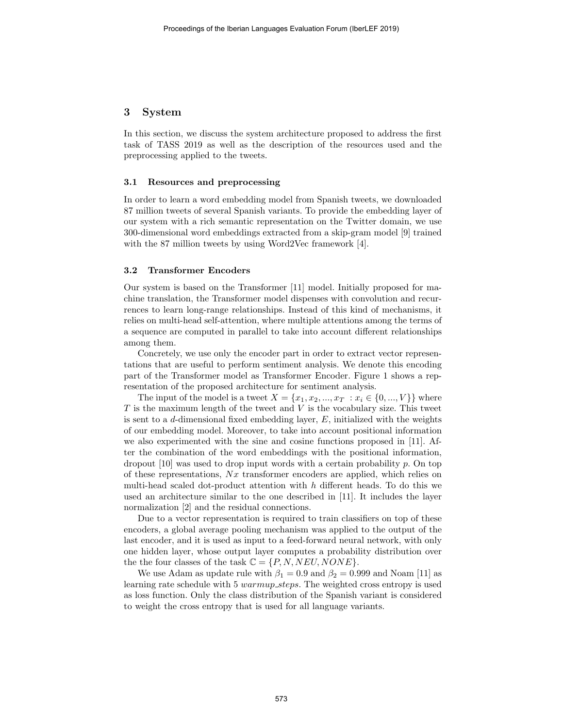## 3 System

In this section, we discuss the system architecture proposed to address the first task of TASS 2019 as well as the description of the resources used and the preprocessing applied to the tweets.

#### 3.1 Resources and preprocessing

In order to learn a word embedding model from Spanish tweets, we downloaded 87 million tweets of several Spanish variants. To provide the embedding layer of our system with a rich semantic representation on the Twitter domain, we use 300-dimensional word embeddings extracted from a skip-gram model [9] trained with the 87 million tweets by using Word2Vec framework [4].

#### 3.2 Transformer Encoders

Our system is based on the Transformer [11] model. Initially proposed for machine translation, the Transformer model dispenses with convolution and recurrences to learn long-range relationships. Instead of this kind of mechanisms, it relies on multi-head self-attention, where multiple attentions among the terms of a sequence are computed in parallel to take into account different relationships among them.

Concretely, we use only the encoder part in order to extract vector representations that are useful to perform sentiment analysis. We denote this encoding part of the Transformer model as Transformer Encoder. Figure 1 shows a representation of the proposed architecture for sentiment analysis.

The input of the model is a tweet  $X = \{x_1, x_2, ..., x_T : x_i \in \{0, ..., V\}\}\$  where  $T$  is the maximum length of the tweet and  $V$  is the vocabulary size. This tweet is sent to a d-dimensional fixed embedding layer,  $E$ , initialized with the weights of our embedding model. Moreover, to take into account positional information we also experimented with the sine and cosine functions proposed in [11]. After the combination of the word embeddings with the positional information, dropout  $[10]$  was used to drop input words with a certain probability p. On top of these representations,  $\overline{Nx}$  transformer encoders are applied, which relies on multi-head scaled dot-product attention with  $h$  different heads. To do this we used an architecture similar to the one described in [11]. It includes the layer normalization [2] and the residual connections.

Due to a vector representation is required to train classifiers on top of these encoders, a global average pooling mechanism was applied to the output of the last encoder, and it is used as input to a feed-forward neural network, with only one hidden layer, whose output layer computes a probability distribution over the the four classes of the task  $\mathbb{C} = \{P, N, NEU, NONE\}.$ 

We use Adam as update rule with  $\beta_1 = 0.9$  and  $\beta_2 = 0.999$  and Noam [11] as learning rate schedule with 5 warmup steps. The weighted cross entropy is used as loss function. Only the class distribution of the Spanish variant is considered to weight the cross entropy that is used for all language variants.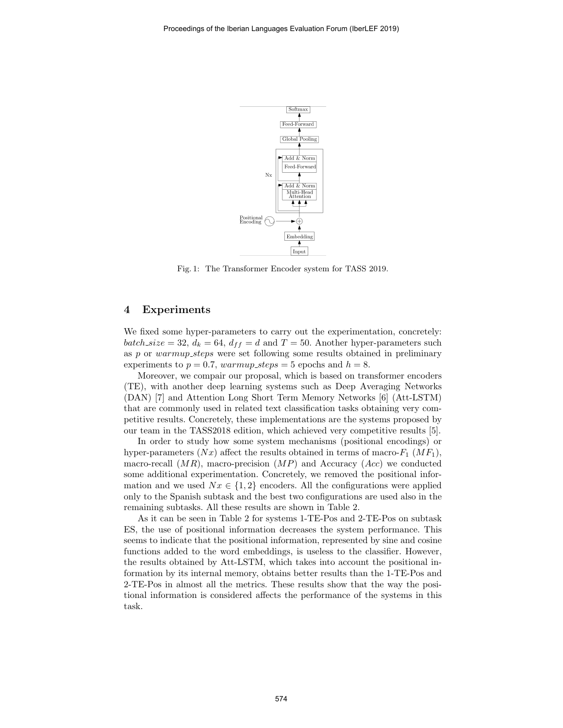

Fig. 1: The Transformer Encoder system for TASS 2019.

## 4 Experiments

We fixed some hyper-parameters to carry out the experimentation, concretely: batch size = 32,  $d_k = 64$ ,  $d_{ff} = d$  and  $T = 50$ . Another hyper-parameters such as p or warmup steps were set following some results obtained in preliminary experiments to  $p = 0.7$ , warmup\_steps = 5 epochs and  $h = 8$ .

Moreover, we compair our proposal, which is based on transformer encoders (TE), with another deep learning systems such as Deep Averaging Networks (DAN) [7] and Attention Long Short Term Memory Networks [6] (Att-LSTM) that are commonly used in related text classification tasks obtaining very competitive results. Concretely, these implementations are the systems proposed by our team in the TASS2018 edition, which achieved very competitive results [5].

In order to study how some system mechanisms (positional encodings) or hyper-parameters  $(Nx)$  affect the results obtained in terms of macro- $F_1$   $(MF_1)$ , macro-recall  $(MR)$ , macro-precision  $(MP)$  and Accuracy  $(Acc)$  we conducted some additional experimentation. Concretely, we removed the positional information and we used  $Nx \in \{1,2\}$  encoders. All the configurations were applied only to the Spanish subtask and the best two configurations are used also in the remaining subtasks. All these results are shown in Table 2.

As it can be seen in Table 2 for systems 1-TE-Pos and 2-TE-Pos on subtask ES, the use of positional information decreases the system performance. This seems to indicate that the positional information, represented by sine and cosine functions added to the word embeddings, is useless to the classifier. However, the results obtained by Att-LSTM, which takes into account the positional information by its internal memory, obtains better results than the 1-TE-Pos and 2-TE-Pos in almost all the metrics. These results show that the way the positional information is considered affects the performance of the systems in this task.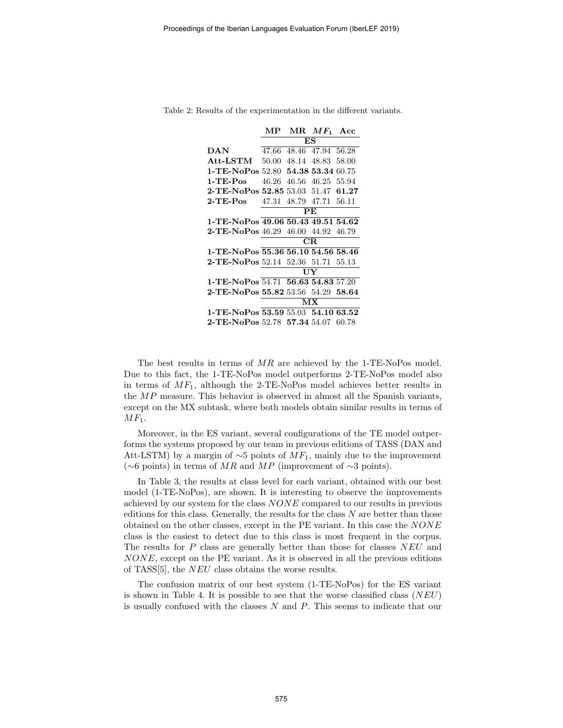|                                           | MР          |           | $MR$ $MF_1$ Acc   |       |  |  |
|-------------------------------------------|-------------|-----------|-------------------|-------|--|--|
|                                           | ES          |           |                   |       |  |  |
| 47.66<br>DAN                              |             |           | 48.46 47.94 56.28 |       |  |  |
| $Att-LSTM 50.00$                          |             | 48.14     | 48.83             | 58.00 |  |  |
| 1-TE-NoPos 52.80 54.38 53.34              |             |           |                   | 60.75 |  |  |
| $1-TE-Pos$                                | 46.26       |           | 46.56 46.25 55.94 |       |  |  |
| 2-TE-NoPos 52.85 53.03 51.47 61.27        |             |           |                   |       |  |  |
| 2-TE-Pos                                  | 47.31       |           | 48.79 47.71 56.11 |       |  |  |
|                                           |             | <b>PE</b> |                   |       |  |  |
| 1-TE-NoPos 49.06 50.43 49.51 54.62        |             |           |                   |       |  |  |
| <b>2-TE-NoPos</b> 46.29 46.00 44.92 46.79 |             |           |                   |       |  |  |
|                                           | $_{\rm CR}$ |           |                   |       |  |  |
| 1-TE-NoPos 55.36 56.10 54.56 58.46        |             |           |                   |       |  |  |
| <b>2-TE-NoPos</b> 52.14 52.36 51.71 55.13 |             |           |                   |       |  |  |
|                                           | UY          |           |                   |       |  |  |
| 1-TE-NoPos 54.71 56.63 54.83 57.20        |             |           |                   |       |  |  |
| <b>2-TE-NoPos 55.82</b> 53.56 54.29 58.64 |             |           |                   |       |  |  |
|                                           | MX          |           |                   |       |  |  |
| 1-TE-NoPos 53.59 55.03 54.10 63.52        |             |           |                   |       |  |  |
| $2$ -TE-NoPos 52.78 57.34 54.07           |             |           |                   | 60.78 |  |  |

Table 2: Results of the experimentation in the different variants.

The best results in terms of MR are achieved by the 1-TE-NoPos model. Due to this fact, the 1-TE-NoPos model outperforms 2-TE-NoPos model also in terms of  $MF_1$ , although the 2-TE-NoPos model achieves better results in the MP measure. This behavior is observed in almost all the Spanish variants, except on the MX subtask, where both models obtain similar results in terms of  $MF_1$ .

Moreover, in the ES variant, several configurations of the TE model outperforms the systems proposed by our team in previous editions of TASS (DAN and Att-LSTM) by a margin of  $\sim$ 5 points of  $MF_1$ , mainly due to the improvement (∼6 points) in terms of MR and MP (improvement of ∼3 points).

In Table 3, the results at class level for each variant, obtained with our best model (1-TE-NoPos), are shown. It is interesting to observe the improvements achieved by our system for the class NONE compared to our results in previous editions for this class. Generally, the results for the class  $N$  are better than those obtained on the other classes, except in the PE variant. In this case the NONE class is the easiest to detect due to this class is most frequent in the corpus. The results for  $P$  class are generally better than those for classes  $NEU$  and NONE, except on the PE variant. As it is observed in all the previous editions of TASS[5], the NEU class obtains the worse results.

The confusion matrix of our best system (1-TE-NoPos) for the ES variant is shown in Table 4. It is possible to see that the worse classified class  $(NEU)$ is usually confused with the classes N and P. This seems to indicate that our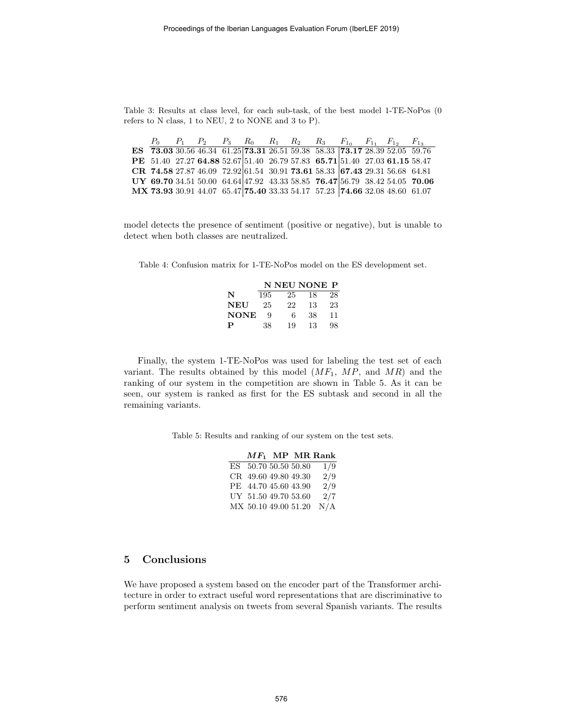Table 3: Results at class level, for each sub-task, of the best model 1-TE-NoPos (0 refers to N class, 1 to NEU, 2 to NONE and 3 to P).

|  |  |  |  | $P_0$ $P_1$ $P_2$ $P_3$ $R_0$ $R_1$ $R_2$ $R_3$ $F_{1_0}$ $F_{1_1}$ $F_{1_2}$ $F_{1_3}$ |  |  |
|--|--|--|--|-----------------------------------------------------------------------------------------|--|--|
|  |  |  |  | ES 73.03 30.56 46.34 61.25 73.31 26.51 59.38 58.33 73.17 28.39 52.05 59.76              |  |  |
|  |  |  |  | PE 51.40 27.27 64.88 52.67 51.40 26.79 57.83 65.71 51.40 27.03 61.15 58.47              |  |  |
|  |  |  |  | CR 74.58 27.87 46.09 72.92 61.54 30.91 73.61 58.33 67.43 29.31 56.68 64.81              |  |  |
|  |  |  |  | UY 69.70 34.51 50.00 64.64 47.92 43.33 58.85 76.47 56.79 38.42 54.05 70.06              |  |  |
|  |  |  |  | MX 73.93 30.91 44.07 65.47 75.40 33.33 54.17 57.23 74.66 32.08 48.60 61.07              |  |  |

model detects the presence of sentiment (positive or negative), but is unable to detect when both classes are neutralized.

Table 4: Confusion matrix for 1-TE-NoPos model on the ES development set.

|             |     |    | N NEU NONE P |    |
|-------------|-----|----|--------------|----|
| N           | 195 | 25 | 18           | 28 |
| NEU         | 25  | 22 | 13           | 23 |
| <b>NONE</b> | Q   | 6  | 38           | 11 |
| P           | 38  | 19 | 13           | 98 |

Finally, the system 1-TE-NoPos was used for labeling the test set of each variant. The results obtained by this model  $(MF_1, MP, and MR)$  and the ranking of our system in the competition are shown in Table 5. As it can be seen, our system is ranked as first for the ES subtask and second in all the remaining variants.

Table 5: Results and ranking of our system on the test sets.

|                      |  | $MF_1$ MP MR Rank |
|----------------------|--|-------------------|
| ES 50.70 50.50 50.80 |  | 1/9               |
| CR 49.60 49.80 49.30 |  | 2/9               |
| PE 44.70 45.60 43.90 |  | 2/9               |
| UY 51.50 49.70 53.60 |  | 2/7               |
| MX 50.10 49.00 51.20 |  | N/A               |

## 5 Conclusions

We have proposed a system based on the encoder part of the Transformer architecture in order to extract useful word representations that are discriminative to perform sentiment analysis on tweets from several Spanish variants. The results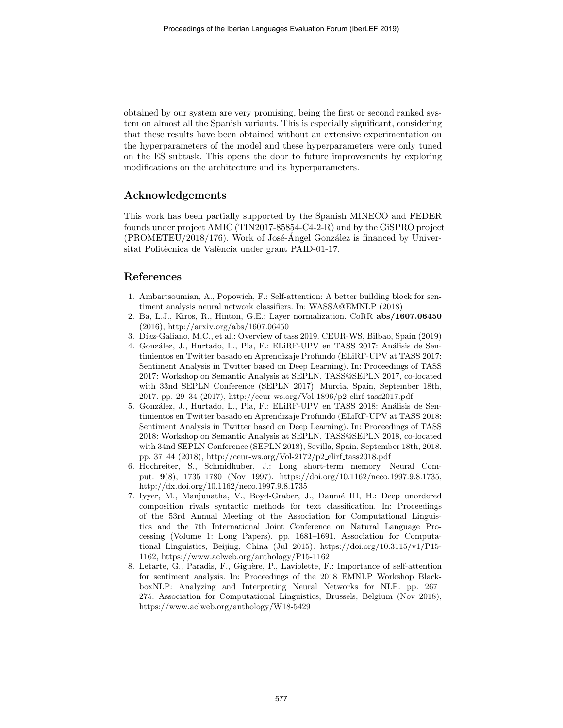obtained by our system are very promising, being the first or second ranked system on almost all the Spanish variants. This is especially significant, considering that these results have been obtained without an extensive experimentation on the hyperparameters of the model and these hyperparameters were only tuned on the ES subtask. This opens the door to future improvements by exploring modifications on the architecture and its hyperparameters.

# Acknowledgements

This work has been partially supported by the Spanish MINECO and FEDER founds under project AMIC (TIN2017-85854-C4-2-R) and by the GiSPRO project  $(PROMETEU/2018/176)$ . Work of José-Ángel González is financed by Universitat Politècnica de València under grant PAID-01-17.

## References

- 1. Ambartsoumian, A., Popowich, F.: Self-attention: A better building block for sentiment analysis neural network classifiers. In: WASSA@EMNLP (2018)
- 2. Ba, L.J., Kiros, R., Hinton, G.E.: Layer normalization. CoRR abs/1607.06450 (2016), http://arxiv.org/abs/1607.06450
- 3. Díaz-Galiano, M.C., et al.: Overview of tass 2019. CEUR-WS, Bilbao, Spain (2019)
- 4. González, J., Hurtado, L., Pla, F.: ELiRF-UPV en TASS 2017: Análisis de Sentimientos en Twitter basado en Aprendizaje Profundo (ELiRF-UPV at TASS 2017: Sentiment Analysis in Twitter based on Deep Learning). In: Proceedings of TASS 2017: Workshop on Semantic Analysis at SEPLN, TASS@SEPLN 2017, co-located with 33nd SEPLN Conference (SEPLN 2017), Murcia, Spain, September 18th, 2017. pp. 29–34 (2017), http://ceur-ws.org/Vol-1896/p2 elirf tass2017.pdf
- 5. González, J., Hurtado, L., Pla, F.: ELiRF-UPV en TASS 2018: Análisis de Sentimientos en Twitter basado en Aprendizaje Profundo (ELiRF-UPV at TASS 2018: Sentiment Analysis in Twitter based on Deep Learning). In: Proceedings of TASS 2018: Workshop on Semantic Analysis at SEPLN, TASS@SEPLN 2018, co-located with 34nd SEPLN Conference (SEPLN 2018), Sevilla, Spain, September 18th, 2018. pp. 37–44 (2018), http://ceur-ws.org/Vol-2172/p2\_elirf\_tass2018.pdf
- 6. Hochreiter, S., Schmidhuber, J.: Long short-term memory. Neural Comput. 9(8), 1735–1780 (Nov 1997). https://doi.org/10.1162/neco.1997.9.8.1735, http://dx.doi.org/10.1162/neco.1997.9.8.1735
- 7. Iyyer, M., Manjunatha, V., Boyd-Graber, J., Daumé III, H.: Deep unordered composition rivals syntactic methods for text classification. In: Proceedings of the 53rd Annual Meeting of the Association for Computational Linguistics and the 7th International Joint Conference on Natural Language Processing (Volume 1: Long Papers). pp. 1681–1691. Association for Computational Linguistics, Beijing, China (Jul 2015). https://doi.org/10.3115/v1/P15- 1162, https://www.aclweb.org/anthology/P15-1162
- 8. Letarte, G., Paradis, F., Giguère, P., Laviolette, F.: Importance of self-attention for sentiment analysis. In: Proceedings of the 2018 EMNLP Workshop BlackboxNLP: Analyzing and Interpreting Neural Networks for NLP. pp. 267– 275. Association for Computational Linguistics, Brussels, Belgium (Nov 2018), https://www.aclweb.org/anthology/W18-5429